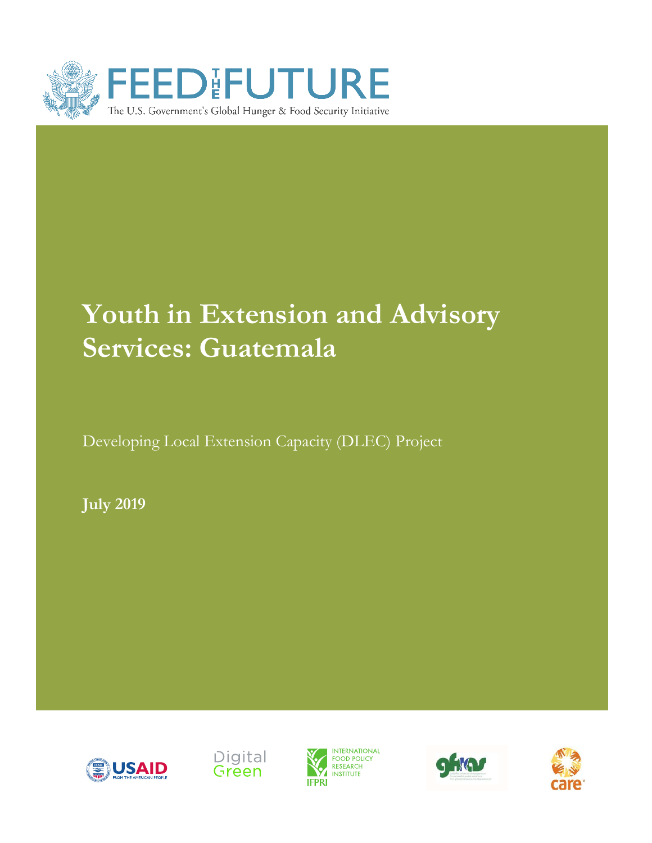

# **Youth in Extension and Advisory Services: Guatemala**

Developing Local Extension Capacity (DLEC) Project

**July 2019**









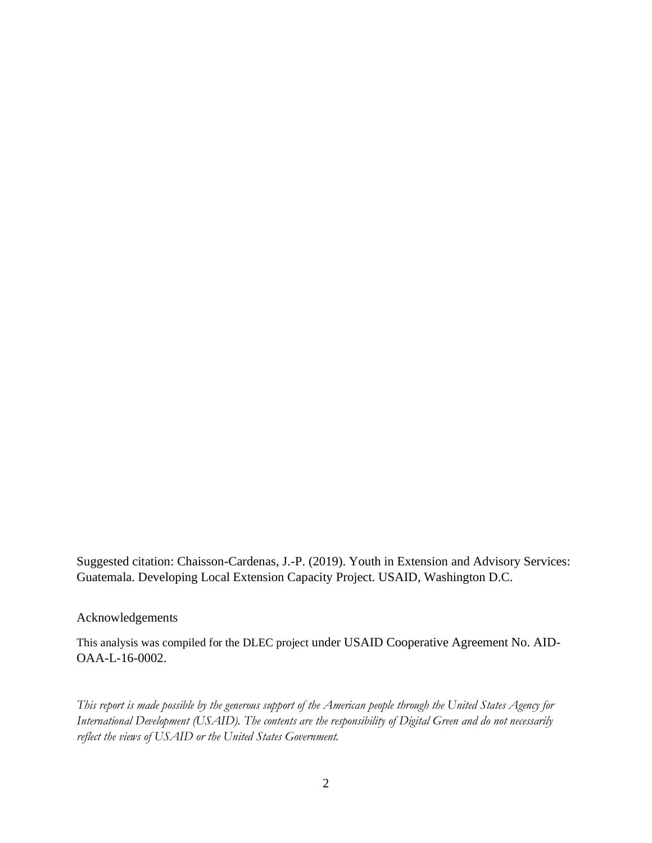Suggested citation: Chaisson-Cardenas, J.-P. (2019). Youth in Extension and Advisory Services: Guatemala. Developing Local Extension Capacity Project. USAID, Washington D.C.

Acknowledgements

This analysis was compiled for the DLEC project under USAID Cooperative Agreement No. AID-OAA-L-16-0002.

*This report is made possible by the generous support of the American people through the United States Agency for International Development (USAID). The contents are the responsibility of Digital Green and do not necessarily reflect the views of USAID or the United States Government.*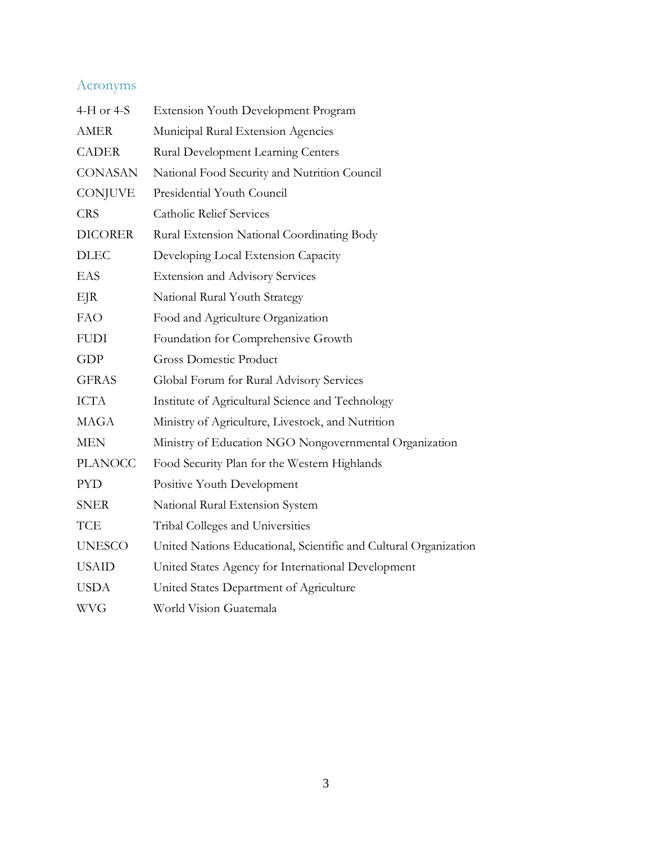# Acronyms

| 4-H or 4-S     | Extension Youth Development Program                              |
|----------------|------------------------------------------------------------------|
| <b>AMER</b>    | Municipal Rural Extension Agencies                               |
| <b>CADER</b>   | Rural Development Learning Centers                               |
| <b>CONASAN</b> | National Food Security and Nutrition Council                     |
| <b>CONJUVE</b> | Presidential Youth Council                                       |
| <b>CRS</b>     | <b>Catholic Relief Services</b>                                  |
| <b>DICORER</b> | Rural Extension National Coordinating Body                       |
| <b>DLEC</b>    | Developing Local Extension Capacity                              |
| EAS            | <b>Extension and Advisory Services</b>                           |
| EJR            | National Rural Youth Strategy                                    |
| <b>FAO</b>     | Food and Agriculture Organization                                |
| <b>FUDI</b>    | Foundation for Comprehensive Growth                              |
| GDP            | <b>Gross Domestic Product</b>                                    |
| <b>GFRAS</b>   | Global Forum for Rural Advisory Services                         |
| <b>ICTA</b>    | Institute of Agricultural Science and Technology                 |
| <b>MAGA</b>    | Ministry of Agriculture, Livestock, and Nutrition                |
| <b>MEN</b>     | Ministry of Education NGO Nongovernmental Organization           |
| <b>PLANOCC</b> | Food Security Plan for the Western Highlands                     |
| <b>PYD</b>     | Positive Youth Development                                       |
| <b>SNER</b>    | National Rural Extension System                                  |
| <b>TCE</b>     | Tribal Colleges and Universities                                 |
| <b>UNESCO</b>  | United Nations Educational, Scientific and Cultural Organization |
| <b>USAID</b>   | United States Agency for International Development               |
| <b>USDA</b>    | United States Department of Agriculture                          |
| <b>WVG</b>     | World Vision Guatemala                                           |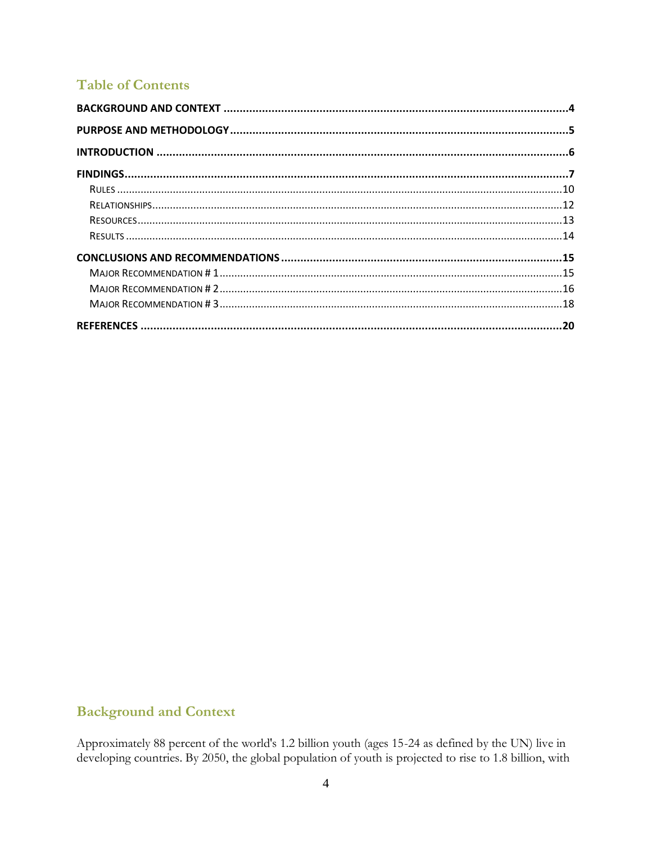## **Table of Contents**

## <span id="page-3-0"></span>**Background and Context**

Approximately 88 percent of the world's 1.2 billion youth (ages 15-24 as defined by the UN) live in developing countries. By 2050, the global population of youth is projected to rise to 1.8 billion, with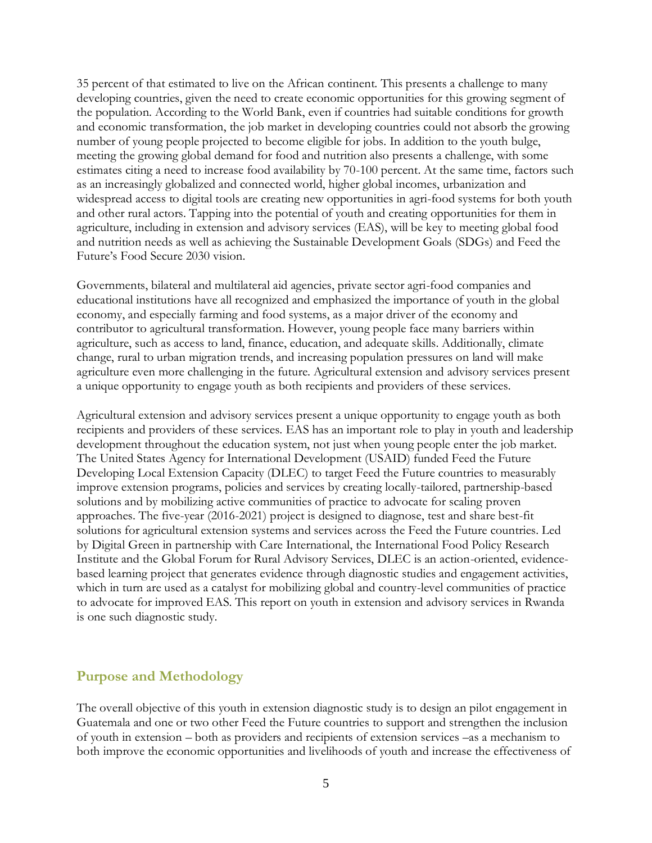35 percent of that estimated to live on the African continent. This presents a challenge to many developing countries, given the need to create economic opportunities for this growing segment of the population. According to the World Bank, even if countries had suitable conditions for growth and economic transformation, the job market in developing countries could not absorb the growing number of young people projected to become eligible for jobs. In addition to the youth bulge, meeting the growing global demand for food and nutrition also presents a challenge, with some estimates citing a need to increase food availability by 70-100 percent. At the same time, factors such as an increasingly globalized and connected world, higher global incomes, urbanization and widespread access to digital tools are creating new opportunities in agri-food systems for both youth and other rural actors. Tapping into the potential of youth and creating opportunities for them in agriculture, including in extension and advisory services (EAS), will be key to meeting global food and nutrition needs as well as achieving the Sustainable Development Goals (SDGs) and Feed the Future's Food Secure 2030 vision.

Governments, bilateral and multilateral aid agencies, private sector agri-food companies and educational institutions have all recognized and emphasized the importance of youth in the global economy, and especially farming and food systems, as a major driver of the economy and contributor to agricultural transformation. However, young people face many barriers within agriculture, such as access to land, finance, education, and adequate skills. Additionally, climate change, rural to urban migration trends, and increasing population pressures on land will make agriculture even more challenging in the future. Agricultural extension and advisory services present a unique opportunity to engage youth as both recipients and providers of these services.

Agricultural extension and advisory services present a unique opportunity to engage youth as both recipients and providers of these services. EAS has an important role to play in youth and leadership development throughout the education system, not just when young people enter the job market. The United States Agency for International Development (USAID) funded Feed the Future Developing Local Extension Capacity (DLEC) to target Feed the Future countries to measurably improve extension programs, policies and services by creating locally-tailored, partnership-based solutions and by mobilizing active communities of practice to advocate for scaling proven approaches. The five-year (2016-2021) project is designed to diagnose, test and share best-fit solutions for agricultural extension systems and services across the Feed the Future countries. Led by Digital Green in partnership with Care International, the International Food Policy Research Institute and the Global Forum for Rural Advisory Services, DLEC is an action-oriented, evidencebased learning project that generates evidence through diagnostic studies and engagement activities, which in turn are used as a catalyst for mobilizing global and country-level communities of practice to advocate for improved EAS. This report on youth in extension and advisory services in Rwanda is one such diagnostic study.

## <span id="page-4-0"></span>**Purpose and Methodology**

The overall objective of this youth in extension diagnostic study is to design an pilot engagement in Guatemala and one or two other Feed the Future countries to support and strengthen the inclusion of youth in extension – both as providers and recipients of extension services –as a mechanism to both improve the economic opportunities and livelihoods of youth and increase the effectiveness of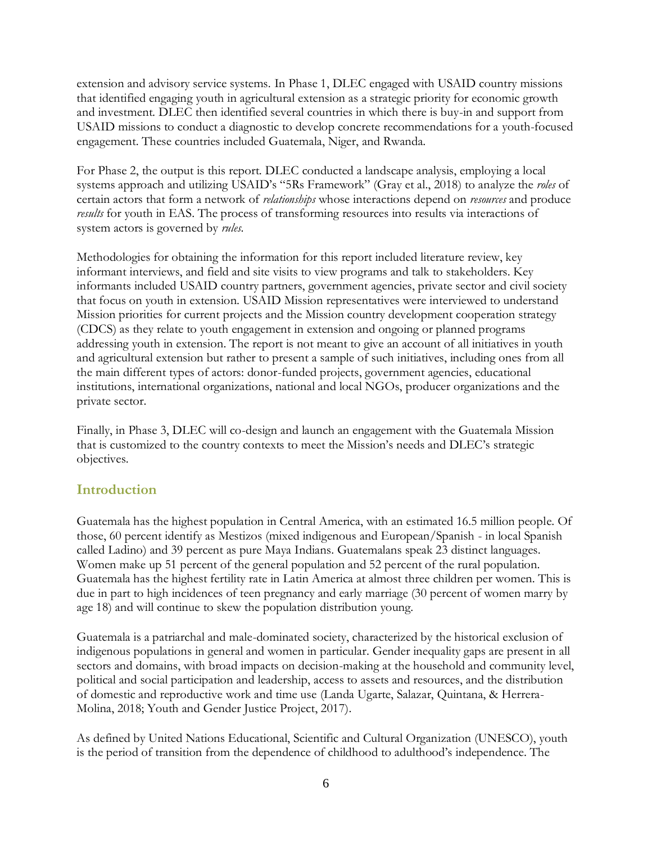extension and advisory service systems. In Phase 1, DLEC engaged with USAID country missions that identified engaging youth in agricultural extension as a strategic priority for economic growth and investment. DLEC then identified several countries in which there is buy-in and support from USAID missions to conduct a diagnostic to develop concrete recommendations for a youth-focused engagement. These countries included Guatemala, Niger, and Rwanda.

For Phase 2, the output is this report. DLEC conducted a landscape analysis, employing a local systems approach and utilizing USAID's "5Rs Framework" (Gray et al., 2018) to analyze the *roles* of certain actors that form a network of *relationships* whose interactions depend on *resources* and produce *results* for youth in EAS. The process of transforming resources into results via interactions of system actors is governed by *rules*.

Methodologies for obtaining the information for this report included literature review, key informant interviews, and field and site visits to view programs and talk to stakeholders. Key informants included USAID country partners, government agencies, private sector and civil society that focus on youth in extension. USAID Mission representatives were interviewed to understand Mission priorities for current projects and the Mission country development cooperation strategy (CDCS) as they relate to youth engagement in extension and ongoing or planned programs addressing youth in extension. The report is not meant to give an account of all initiatives in youth and agricultural extension but rather to present a sample of such initiatives, including ones from all the main different types of actors: donor-funded projects, government agencies, educational institutions, international organizations, national and local NGOs, producer organizations and the private sector.

Finally, in Phase 3, DLEC will co-design and launch an engagement with the Guatemala Mission that is customized to the country contexts to meet the Mission's needs and DLEC's strategic objectives.

## <span id="page-5-0"></span>**Introduction**

Guatemala has the highest population in Central America, with an estimated 16.5 million people. Of those, 60 percent identify as Mestizos (mixed indigenous and European/Spanish - in local Spanish called Ladino) and 39 percent as pure Maya Indians. Guatemalans speak 23 distinct languages. Women make up 51 percent of the general population and 52 percent of the rural population. Guatemala has the highest fertility rate in Latin America at almost three children per women. This is due in part to high incidences of teen pregnancy and early marriage (30 percent of women marry by age 18) and will continue to skew the population distribution young.

Guatemala is a patriarchal and male-dominated society, characterized by the historical exclusion of indigenous populations in general and women in particular. Gender inequality gaps are present in all sectors and domains, with broad impacts on decision-making at the household and community level, political and social participation and leadership, access to assets and resources, and the distribution of domestic and reproductive work and time use (Landa Ugarte, Salazar, Quintana, & Herrera-Molina, 2018; Youth and Gender Justice Project, 2017).

As defined by United Nations Educational, Scientific and Cultural Organization (UNESCO), youth is the period of transition from the dependence of childhood to adulthood's independence. The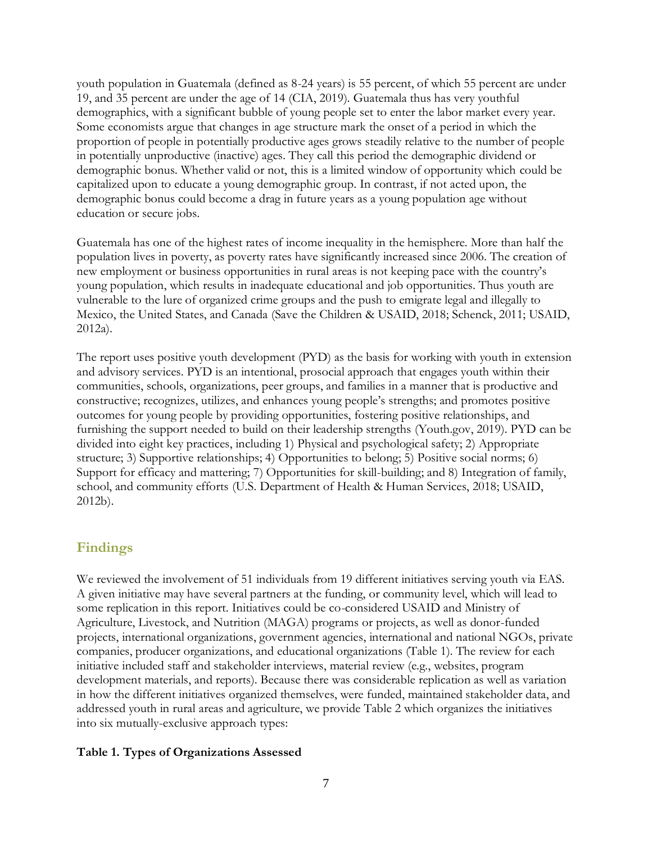youth population in Guatemala (defined as 8-24 years) is 55 percent, of which 55 percent are under 19, and 35 percent are under the age of 14 (CIA, 2019). Guatemala thus has very youthful demographics, with a significant bubble of young people set to enter the labor market every year. Some economists argue that changes in age structure mark the onset of a period in which the proportion of people in potentially productive ages grows steadily relative to the number of people in potentially unproductive (inactive) ages. They call this period the demographic dividend or demographic bonus. Whether valid or not, this is a limited window of opportunity which could be capitalized upon to educate a young demographic group. In contrast, if not acted upon, the demographic bonus could become a drag in future years as a young population age without education or secure jobs.

Guatemala has one of the highest rates of income inequality in the hemisphere. More than half the population lives in poverty, as poverty rates have significantly increased since 2006. The creation of new employment or business opportunities in rural areas is not keeping pace with the country's young population, which results in inadequate educational and job opportunities. Thus youth are vulnerable to the lure of organized crime groups and the push to emigrate legal and illegally to Mexico, the United States, and Canada (Save the Children & USAID, 2018; Schenck, 2011; USAID, 2012a).

The report uses positive youth development (PYD) as the basis for working with youth in extension and advisory services. PYD is an intentional, prosocial approach that engages youth within their communities, schools, organizations, peer groups, and families in a manner that is productive and constructive; recognizes, utilizes, and enhances young people's strengths; and promotes positive outcomes for young people by providing opportunities, fostering positive relationships, and furnishing the support needed to build on their leadership strengths (Youth.gov, 2019). PYD can be divided into eight key practices, including 1) Physical and psychological safety; 2) Appropriate structure; 3) Supportive relationships; 4) Opportunities to belong; 5) Positive social norms; 6) Support for efficacy and mattering; 7) Opportunities for skill-building; and 8) Integration of family, school, and community efforts (U.S. Department of Health & Human Services, 2018; USAID, 2012b).

## <span id="page-6-0"></span>**Findings**

We reviewed the involvement of 51 individuals from 19 different initiatives serving youth via EAS. A given initiative may have several partners at the funding, or community level, which will lead to some replication in this report. Initiatives could be co-considered USAID and Ministry of Agriculture, Livestock, and Nutrition (MAGA) programs or projects, as well as donor-funded projects, international organizations, government agencies, international and national NGOs, private companies, producer organizations, and educational organizations (Table 1). The review for each initiative included staff and stakeholder interviews, material review (e.g., websites, program development materials, and reports). Because there was considerable replication as well as variation in how the different initiatives organized themselves, were funded, maintained stakeholder data, and addressed youth in rural areas and agriculture, we provide Table 2 which organizes the initiatives into six mutually-exclusive approach types:

## **Table 1. Types of Organizations Assessed**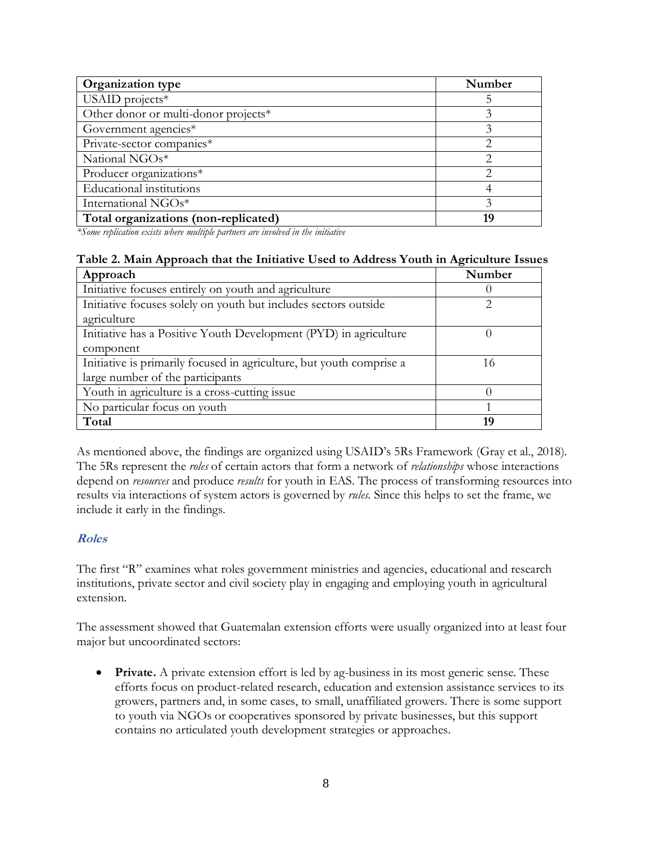| Organization type                    | Number |
|--------------------------------------|--------|
| USAID projects $*$                   |        |
| Other donor or multi-donor projects* |        |
| Government agencies*                 |        |
| Private-sector companies*            | 2      |
| National NGOs*                       |        |
| Producer organizations*              |        |
| <b>Educational</b> institutions      |        |
| International NGOs*                  |        |
| Total organizations (non-replicated) | 19     |

*\*Some replication exists where multiple partners are involved in the initiative* 

## **Table 2. Main Approach that the Initiative Used to Address Youth in Agriculture Issues**

| Approach                                                             | Number |
|----------------------------------------------------------------------|--------|
| Initiative focuses entirely on youth and agriculture                 |        |
| Initiative focuses solely on youth but includes sectors outside      | っ      |
| agriculture                                                          |        |
| Initiative has a Positive Youth Development (PYD) in agriculture     |        |
| component                                                            |        |
| Initiative is primarily focused in agriculture, but youth comprise a | 16     |
| large number of the participants                                     |        |
| Youth in agriculture is a cross-cutting issue                        |        |
| No particular focus on youth                                         |        |
| Total                                                                | 19     |

As mentioned above, the findings are organized using USAID's 5Rs Framework (Gray et al., 2018). The 5Rs represent the *roles* of certain actors that form a network of *relationships* whose interactions depend on *resources* and produce *results* for youth in EAS. The process of transforming resources into results via interactions of system actors is governed by *rules*. Since this helps to set the frame, we include it early in the findings.

## **Roles**

The first "R" examines what roles government ministries and agencies, educational and research institutions, private sector and civil society play in engaging and employing youth in agricultural extension.

The assessment showed that Guatemalan extension efforts were usually organized into at least four major but uncoordinated sectors:

• **Private.** A private extension effort is led by ag-business in its most generic sense. These efforts focus on product-related research, education and extension assistance services to its growers, partners and, in some cases, to small, unaffiliated growers. There is some support to youth via NGOs or cooperatives sponsored by private businesses, but this support contains no articulated youth development strategies or approaches.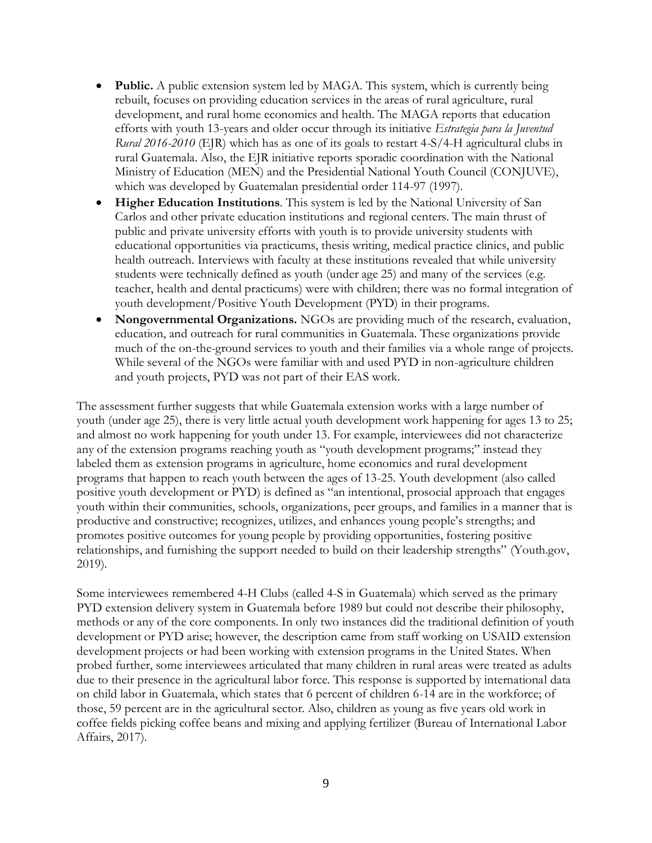- **Public.** A public extension system led by MAGA. This system, which is currently being rebuilt, focuses on providing education services in the areas of rural agriculture, rural development, and rural home economics and health. The MAGA reports that education efforts with youth 13-years and older occur through its initiative *Estrategia para la Juventud Rural 2016-2010* (EJR) which has as one of its goals to restart 4-S/4-H agricultural clubs in rural Guatemala. Also, the EJR initiative reports sporadic coordination with the National Ministry of Education (MEN) and the Presidential National Youth Council (CONJUVE), which was developed by Guatemalan presidential order 114-97 (1997).
- **Higher Education Institutions**. This system is led by the National University of San Carlos and other private education institutions and regional centers. The main thrust of public and private university efforts with youth is to provide university students with educational opportunities via practicums, thesis writing, medical practice clinics, and public health outreach. Interviews with faculty at these institutions revealed that while university students were technically defined as youth (under age 25) and many of the services (e.g. teacher, health and dental practicums) were with children; there was no formal integration of youth development/Positive Youth Development (PYD) in their programs.
- **Nongovernmental Organizations.** NGOs are providing much of the research, evaluation, education, and outreach for rural communities in Guatemala. These organizations provide much of the on-the-ground services to youth and their families via a whole range of projects. While several of the NGOs were familiar with and used PYD in non-agriculture children and youth projects, PYD was not part of their EAS work.

The assessment further suggests that while Guatemala extension works with a large number of youth (under age 25), there is very little actual youth development work happening for ages 13 to 25; and almost no work happening for youth under 13. For example, interviewees did not characterize any of the extension programs reaching youth as "youth development programs;" instead they labeled them as extension programs in agriculture, home economics and rural development programs that happen to reach youth between the ages of 13-25. Youth development (also called positive youth development or PYD) is defined as "an intentional, prosocial approach that engages youth within their communities, schools, organizations, peer groups, and families in a manner that is productive and constructive; recognizes, utilizes, and enhances young people's strengths; and promotes positive outcomes for young people by providing opportunities, fostering positive relationships, and furnishing the support needed to build on their leadership strengths" (Youth.gov, 2019).

Some interviewees remembered 4-H Clubs (called 4-S in Guatemala) which served as the primary PYD extension delivery system in Guatemala before 1989 but could not describe their philosophy, methods or any of the core components. In only two instances did the traditional definition of youth development or PYD arise; however, the description came from staff working on USAID extension development projects or had been working with extension programs in the United States. When probed further, some interviewees articulated that many children in rural areas were treated as adults due to their presence in the agricultural labor force. This response is supported by international data on child labor in Guatemala, which states that 6 percent of children 6-14 are in the workforce; of those, 59 percent are in the agricultural sector. Also, children as young as five years old work in coffee fields picking coffee beans and mixing and applying fertilizer (Bureau of International Labor Affairs, 2017).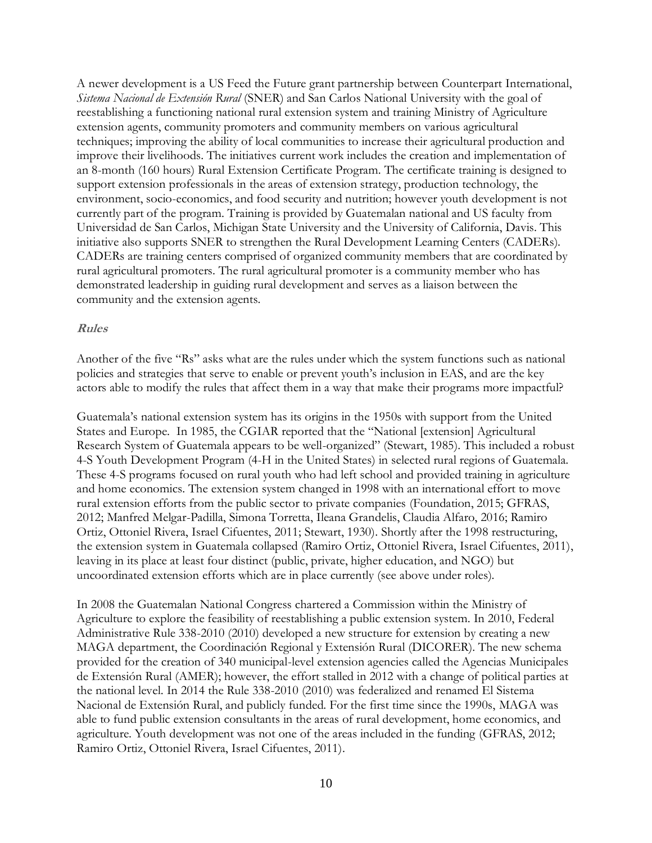A newer development is a US Feed the Future grant partnership between Counterpart International, *Sistema Nacional de Extensión Rural* (SNER) and San Carlos National University with the goal of reestablishing a functioning national rural extension system and training Ministry of Agriculture extension agents, community promoters and community members on various agricultural techniques; improving the ability of local communities to increase their agricultural production and improve their livelihoods. The initiatives current work includes the creation and implementation of an 8-month (160 hours) Rural Extension Certificate Program. The certificate training is designed to support extension professionals in the areas of extension strategy, production technology, the environment, socio-economics, and food security and nutrition; however youth development is not currently part of the program. Training is provided by Guatemalan national and US faculty from Universidad de San Carlos, Michigan State University and the University of California, Davis. This initiative also supports SNER to strengthen the Rural Development Learning Centers (CADERs). CADERs are training centers comprised of organized community members that are coordinated by rural agricultural promoters. The rural agricultural promoter is a community member who has demonstrated leadership in guiding rural development and serves as a liaison between the community and the extension agents.

#### <span id="page-9-0"></span>**Rules**

Another of the five "Rs" asks what are the rules under which the system functions such as national policies and strategies that serve to enable or prevent youth's inclusion in EAS, and are the key actors able to modify the rules that affect them in a way that make their programs more impactful?

Guatemala's national extension system has its origins in the 1950s with support from the United States and Europe. In 1985, the CGIAR reported that the "National [extension] Agricultural Research System of Guatemala appears to be well-organized" (Stewart, 1985). This included a robust 4-S Youth Development Program (4-H in the United States) in selected rural regions of Guatemala. These 4-S programs focused on rural youth who had left school and provided training in agriculture and home economics. The extension system changed in 1998 with an international effort to move rural extension efforts from the public sector to private companies (Foundation, 2015; GFRAS, 2012; Manfred Melgar-Padilla, Simona Torretta, Ileana Grandelis, Claudia Alfaro, 2016; Ramiro Ortiz, Ottoniel Rivera, Israel Cifuentes, 2011; Stewart, 1930). Shortly after the 1998 restructuring, the extension system in Guatemala collapsed (Ramiro Ortiz, Ottoniel Rivera, Israel Cifuentes, 2011), leaving in its place at least four distinct (public, private, higher education, and NGO) but uncoordinated extension efforts which are in place currently (see above under roles).

In 2008 the Guatemalan National Congress chartered a Commission within the Ministry of Agriculture to explore the feasibility of reestablishing a public extension system. In 2010, Federal Administrative Rule 338-2010 (2010) developed a new structure for extension by creating a new MAGA department, the Coordinación Regional y Extensión Rural (DICORER). The new schema provided for the creation of 340 municipal-level extension agencies called the Agencias Municipales de Extensión Rural (AMER); however, the effort stalled in 2012 with a change of political parties at the national level. In 2014 the Rule 338-2010 (2010) was federalized and renamed El Sistema Nacional de Extensión Rural, and publicly funded. For the first time since the 1990s, MAGA was able to fund public extension consultants in the areas of rural development, home economics, and agriculture. Youth development was not one of the areas included in the funding (GFRAS, 2012; Ramiro Ortiz, Ottoniel Rivera, Israel Cifuentes, 2011).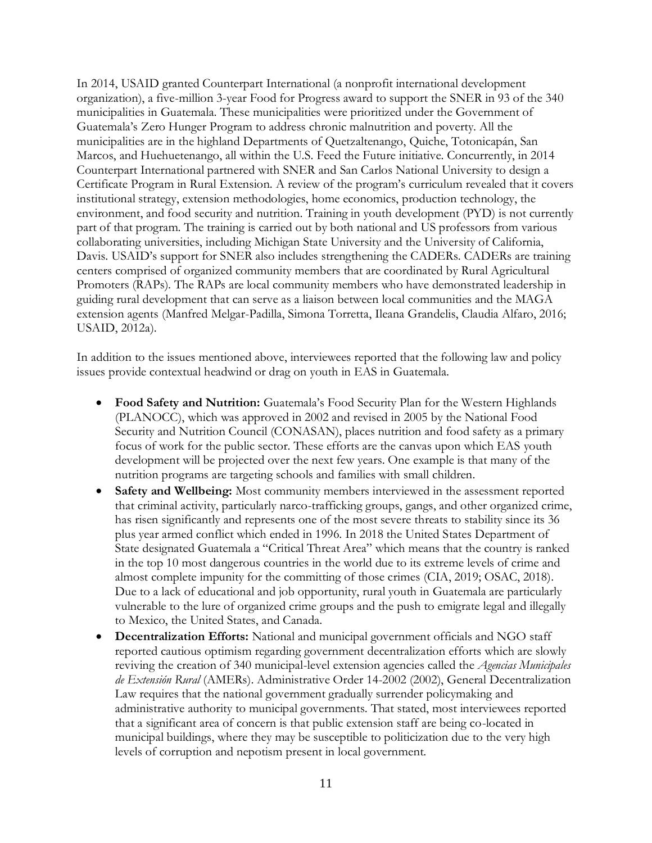In 2014, USAID granted Counterpart International (a nonprofit international development organization), a five-million 3-year Food for Progress award to support the SNER in 93 of the 340 municipalities in Guatemala. These municipalities were prioritized under the Government of Guatemala's Zero Hunger Program to address chronic malnutrition and poverty. All the municipalities are in the highland Departments of Quetzaltenango, Quiche, Totonicapán, San Marcos, and Huehuetenango, all within the U.S. Feed the Future initiative. Concurrently, in 2014 Counterpart International partnered with SNER and San Carlos National University to design a Certificate Program in Rural Extension. A review of the program's curriculum revealed that it covers institutional strategy, extension methodologies, home economics, production technology, the environment, and food security and nutrition. Training in youth development (PYD) is not currently part of that program. The training is carried out by both national and US professors from various collaborating universities, including Michigan State University and the University of California, Davis. USAID's support for SNER also includes strengthening the CADERs. CADERs are training centers comprised of organized community members that are coordinated by Rural Agricultural Promoters (RAPs). The RAPs are local community members who have demonstrated leadership in guiding rural development that can serve as a liaison between local communities and the MAGA extension agents (Manfred Melgar-Padilla, Simona Torretta, Ileana Grandelis, Claudia Alfaro, 2016; USAID, 2012a).

In addition to the issues mentioned above, interviewees reported that the following law and policy issues provide contextual headwind or drag on youth in EAS in Guatemala.

- **Food Safety and Nutrition:** Guatemala's Food Security Plan for the Western Highlands (PLANOCC), which was approved in 2002 and revised in 2005 by the National Food Security and Nutrition Council (CONASAN), places nutrition and food safety as a primary focus of work for the public sector. These efforts are the canvas upon which EAS youth development will be projected over the next few years. One example is that many of the nutrition programs are targeting schools and families with small children.
- **Safety and Wellbeing:** Most community members interviewed in the assessment reported that criminal activity, particularly narco-trafficking groups, gangs, and other organized crime, has risen significantly and represents one of the most severe threats to stability since its 36 plus year armed conflict which ended in 1996. In 2018 the United States Department of State designated Guatemala a "Critical Threat Area" which means that the country is ranked in the top 10 most dangerous countries in the world due to its extreme levels of crime and almost complete impunity for the committing of those crimes (CIA, 2019; OSAC, 2018). Due to a lack of educational and job opportunity, rural youth in Guatemala are particularly vulnerable to the lure of organized crime groups and the push to emigrate legal and illegally to Mexico, the United States, and Canada.
- **Decentralization Efforts:** National and municipal government officials and NGO staff reported cautious optimism regarding government decentralization efforts which are slowly reviving the creation of 340 municipal-level extension agencies called the *Agencias Municipales de Extensión Rural* (AMERs). Administrative Order 14-2002 (2002), General Decentralization Law requires that the national government gradually surrender policymaking and administrative authority to municipal governments. That stated, most interviewees reported that a significant area of concern is that public extension staff are being co-located in municipal buildings, where they may be susceptible to politicization due to the very high levels of corruption and nepotism present in local government.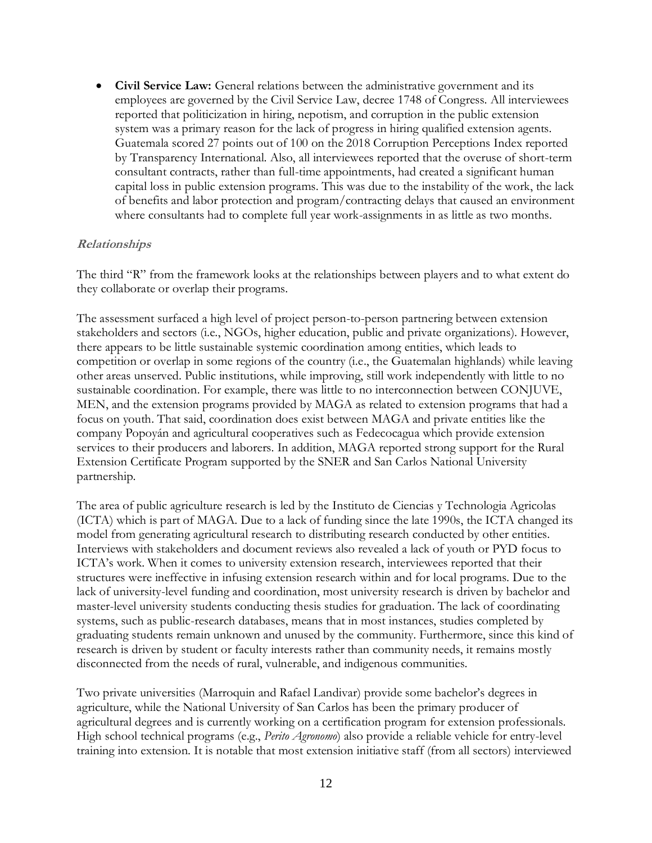**Civil Service Law:** General relations between the administrative government and its employees are governed by the Civil Service Law, decree 1748 of Congress. All interviewees reported that politicization in hiring, nepotism, and corruption in the public extension system was a primary reason for the lack of progress in hiring qualified extension agents. Guatemala scored 27 points out of 100 on the 2018 Corruption Perceptions Index reported by Transparency International. Also, all interviewees reported that the overuse of short-term consultant contracts, rather than full-time appointments, had created a significant human capital loss in public extension programs. This was due to the instability of the work, the lack of benefits and labor protection and program/contracting delays that caused an environment where consultants had to complete full year work-assignments in as little as two months.

### <span id="page-11-0"></span>**Relationships**

The third "R" from the framework looks at the relationships between players and to what extent do they collaborate or overlap their programs.

The assessment surfaced a high level of project person-to-person partnering between extension stakeholders and sectors (i.e., NGOs, higher education, public and private organizations). However, there appears to be little sustainable systemic coordination among entities, which leads to competition or overlap in some regions of the country (i.e., the Guatemalan highlands) while leaving other areas unserved. Public institutions, while improving, still work independently with little to no sustainable coordination. For example, there was little to no interconnection between CONJUVE, MEN, and the extension programs provided by MAGA as related to extension programs that had a focus on youth. That said, coordination does exist between MAGA and private entities like the company Popoyán and agricultural cooperatives such as Fedecocagua which provide extension services to their producers and laborers. In addition, MAGA reported strong support for the Rural Extension Certificate Program supported by the SNER and San Carlos National University partnership.

The area of public agriculture research is led by the Instituto de Ciencias y Technologia Agricolas (ICTA) which is part of MAGA. Due to a lack of funding since the late 1990s, the ICTA changed its model from generating agricultural research to distributing research conducted by other entities. Interviews with stakeholders and document reviews also revealed a lack of youth or PYD focus to ICTA's work. When it comes to university extension research, interviewees reported that their structures were ineffective in infusing extension research within and for local programs. Due to the lack of university-level funding and coordination, most university research is driven by bachelor and master-level university students conducting thesis studies for graduation. The lack of coordinating systems, such as public-research databases, means that in most instances, studies completed by graduating students remain unknown and unused by the community. Furthermore, since this kind of research is driven by student or faculty interests rather than community needs, it remains mostly disconnected from the needs of rural, vulnerable, and indigenous communities.

Two private universities (Marroquin and Rafael Landivar) provide some bachelor's degrees in agriculture, while the National University of San Carlos has been the primary producer of agricultural degrees and is currently working on a certification program for extension professionals. High school technical programs (e.g., *Perito Agronomo*) also provide a reliable vehicle for entry-level training into extension. It is notable that most extension initiative staff (from all sectors) interviewed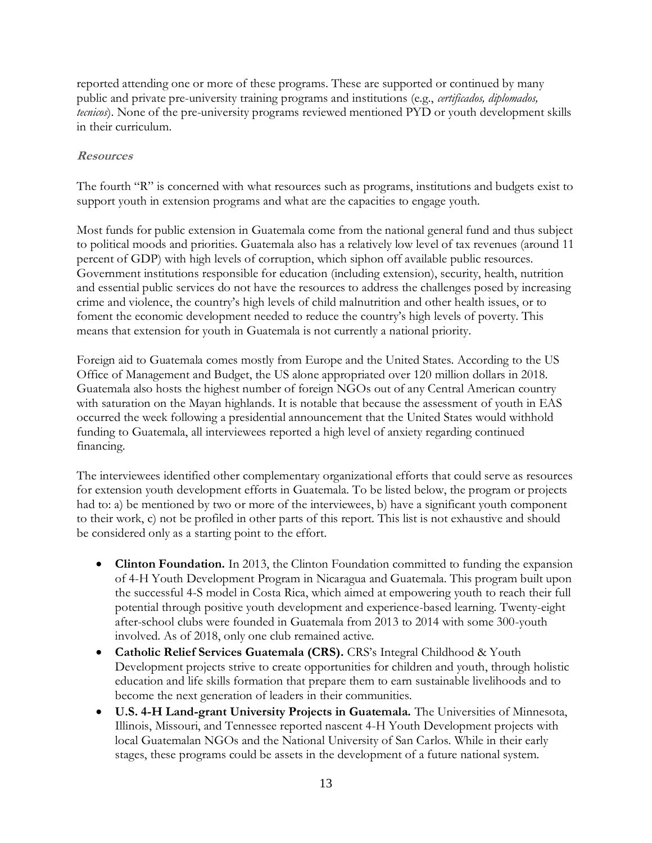reported attending one or more of these programs. These are supported or continued by many public and private pre-university training programs and institutions (e.g., *certificados, diplomados, tecnicos*). None of the pre-university programs reviewed mentioned PYD or youth development skills in their curriculum.

## <span id="page-12-0"></span>**Resources**

The fourth "R" is concerned with what resources such as programs, institutions and budgets exist to support youth in extension programs and what are the capacities to engage youth.

Most funds for public extension in Guatemala come from the national general fund and thus subject to political moods and priorities. Guatemala also has a relatively low level of tax revenues (around 11 percent of GDP) with high levels of corruption, which siphon off available public resources. Government institutions responsible for education (including extension), security, health, nutrition and essential public services do not have the resources to address the challenges posed by increasing crime and violence, the country's high levels of child malnutrition and other health issues, or to foment the economic development needed to reduce the country's high levels of poverty. This means that extension for youth in Guatemala is not currently a national priority.

Foreign aid to Guatemala comes mostly from Europe and the United States. According to the US Office of Management and Budget, the US alone appropriated over 120 million dollars in 2018. Guatemala also hosts the highest number of foreign NGOs out of any Central American country with saturation on the Mayan highlands. It is notable that because the assessment of youth in EAS occurred the week following a presidential announcement that the United States would withhold funding to Guatemala, all interviewees reported a high level of anxiety regarding continued financing.

The interviewees identified other complementary organizational efforts that could serve as resources for extension youth development efforts in Guatemala. To be listed below, the program or projects had to: a) be mentioned by two or more of the interviewees, b) have a significant youth component to their work, c) not be profiled in other parts of this report. This list is not exhaustive and should be considered only as a starting point to the effort.

- **Clinton Foundation.** In 2013, the Clinton Foundation committed to funding the expansion of 4-H Youth Development Program in Nicaragua and Guatemala. This program built upon the successful 4-S model in Costa Rica, which aimed at empowering youth to reach their full potential through positive youth development and experience-based learning. Twenty-eight after-school clubs were founded in Guatemala from 2013 to 2014 with some 300-youth involved. As of 2018, only one club remained active.
- **Catholic Relief Services Guatemala (CRS).** CRS's Integral Childhood & Youth Development projects strive to create opportunities for children and youth, through holistic education and life skills formation that prepare them to earn sustainable livelihoods and to become the next generation of leaders in their communities.
- **U.S. 4-H Land-grant University Projects in Guatemala.** The Universities of Minnesota, Illinois, Missouri, and Tennessee reported nascent 4-H Youth Development projects with local Guatemalan NGOs and the National University of San Carlos. While in their early stages, these programs could be assets in the development of a future national system.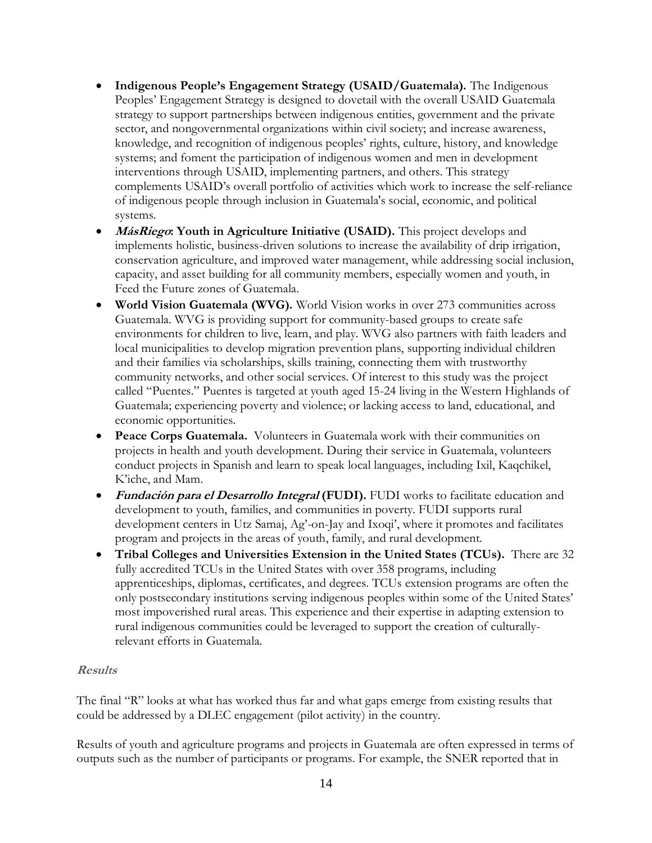- **Indigenous People's Engagement Strategy (USAID/Guatemala).** The Indigenous Peoples' Engagement Strategy is designed to dovetail with the overall USAID Guatemala strategy to support partnerships between indigenous entities, government and the private sector, and nongovernmental organizations within civil society; and increase awareness, knowledge, and recognition of indigenous peoples' rights, culture, history, and knowledge systems; and foment the participation of indigenous women and men in development interventions through USAID, implementing partners, and others. This strategy complements USAID's overall portfolio of activities which work to increase the self-reliance of indigenous people through inclusion in Guatemala's social, economic, and political systems.
- **MásRiego: Youth in Agriculture Initiative (USAID).** This project develops and implements holistic, business-driven solutions to increase the availability of drip irrigation, conservation agriculture, and improved water management, while addressing social inclusion, capacity, and asset building for all community members, especially women and youth, in Feed the Future zones of Guatemala.
- **World Vision Guatemala (WVG).** World Vision works in over 273 communities across Guatemala. WVG is providing support for community-based groups to create safe environments for children to live, learn, and play. WVG also partners with faith leaders and local municipalities to develop migration prevention plans, supporting individual children and their families via scholarships, skills training, connecting them with trustworthy community networks, and other social services. Of interest to this study was the project called "Puentes." Puentes is targeted at youth aged 15-24 living in the Western Highlands of Guatemala; experiencing poverty and violence; or lacking access to land, educational, and economic opportunities.
- **Peace Corps Guatemala.** Volunteers in Guatemala work with their communities on projects in health and youth development. During their service in Guatemala, volunteers conduct projects in Spanish and learn to speak local languages, including Ixil, Kaqchikel, K'iche, and Mam.
- **Fundación para el Desarrollo Integral (FUDI).** FUDI works to facilitate education and development to youth, families, and communities in poverty. FUDI supports rural development centers in Utz Samaj, Ag'-on-Jay and Ixoqi', where it promotes and facilitates program and projects in the areas of youth, family, and rural development.
- **Tribal Colleges and Universities Extension in the United States (TCUs).** There are 32 fully accredited TCUs in the United States with over 358 programs, including apprenticeships, diplomas, certificates, and degrees. TCUs extension programs are often the only postsecondary institutions serving indigenous peoples within some of the United States' most impoverished rural areas. This experience and their expertise in adapting extension to rural indigenous communities could be leveraged to support the creation of culturallyrelevant efforts in Guatemala.

## <span id="page-13-0"></span>**Results**

The final "R" looks at what has worked thus far and what gaps emerge from existing results that could be addressed by a DLEC engagement (pilot activity) in the country.

Results of youth and agriculture programs and projects in Guatemala are often expressed in terms of outputs such as the number of participants or programs. For example, the SNER reported that in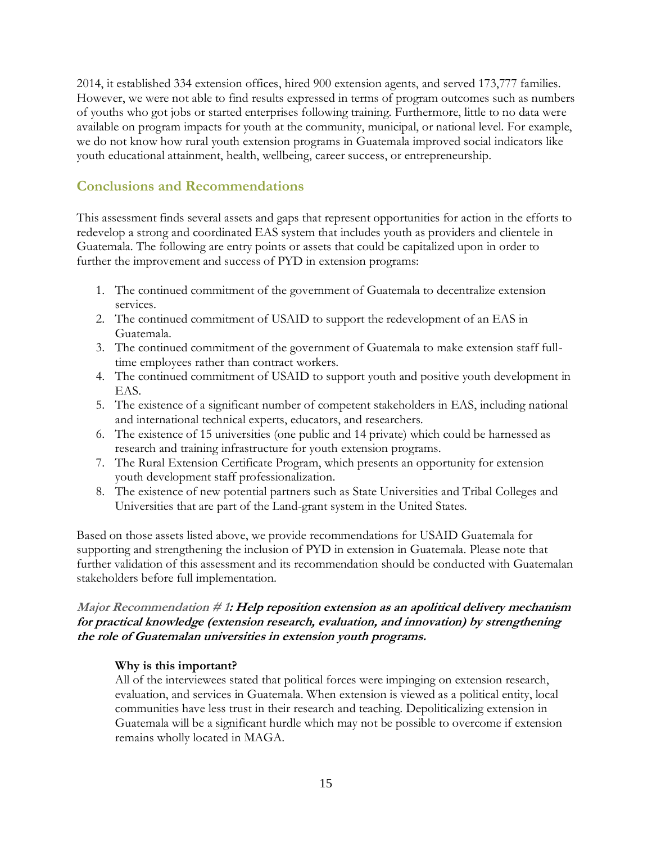2014, it established 334 extension offices, hired 900 extension agents, and served 173,777 families. However, we were not able to find results expressed in terms of program outcomes such as numbers of youths who got jobs or started enterprises following training. Furthermore, little to no data were available on program impacts for youth at the community, municipal, or national level. For example, we do not know how rural youth extension programs in Guatemala improved social indicators like youth educational attainment, health, wellbeing, career success, or entrepreneurship.

## <span id="page-14-0"></span>**Conclusions and Recommendations**

This assessment finds several assets and gaps that represent opportunities for action in the efforts to redevelop a strong and coordinated EAS system that includes youth as providers and clientele in Guatemala. The following are entry points or assets that could be capitalized upon in order to further the improvement and success of PYD in extension programs:

- 1. The continued commitment of the government of Guatemala to decentralize extension services.
- 2. The continued commitment of USAID to support the redevelopment of an EAS in Guatemala.
- 3. The continued commitment of the government of Guatemala to make extension staff fulltime employees rather than contract workers.
- 4. The continued commitment of USAID to support youth and positive youth development in EAS.
- 5. The existence of a significant number of competent stakeholders in EAS, including national and international technical experts, educators, and researchers.
- 6. The existence of 15 universities (one public and 14 private) which could be harnessed as research and training infrastructure for youth extension programs.
- 7. The Rural Extension Certificate Program, which presents an opportunity for extension youth development staff professionalization.
- 8. The existence of new potential partners such as State Universities and Tribal Colleges and Universities that are part of the Land-grant system in the United States.

Based on those assets listed above, we provide recommendations for USAID Guatemala for supporting and strengthening the inclusion of PYD in extension in Guatemala. Please note that further validation of this assessment and its recommendation should be conducted with Guatemalan stakeholders before full implementation.

## <span id="page-14-1"></span>**Major Recommendation # 1: Help reposition extension as an apolitical delivery mechanism for practical knowledge (extension research, evaluation, and innovation) by strengthening the role of Guatemalan universities in extension youth programs.**

## **Why is this important?**

All of the interviewees stated that political forces were impinging on extension research, evaluation, and services in Guatemala. When extension is viewed as a political entity, local communities have less trust in their research and teaching. Depoliticalizing extension in Guatemala will be a significant hurdle which may not be possible to overcome if extension remains wholly located in MAGA.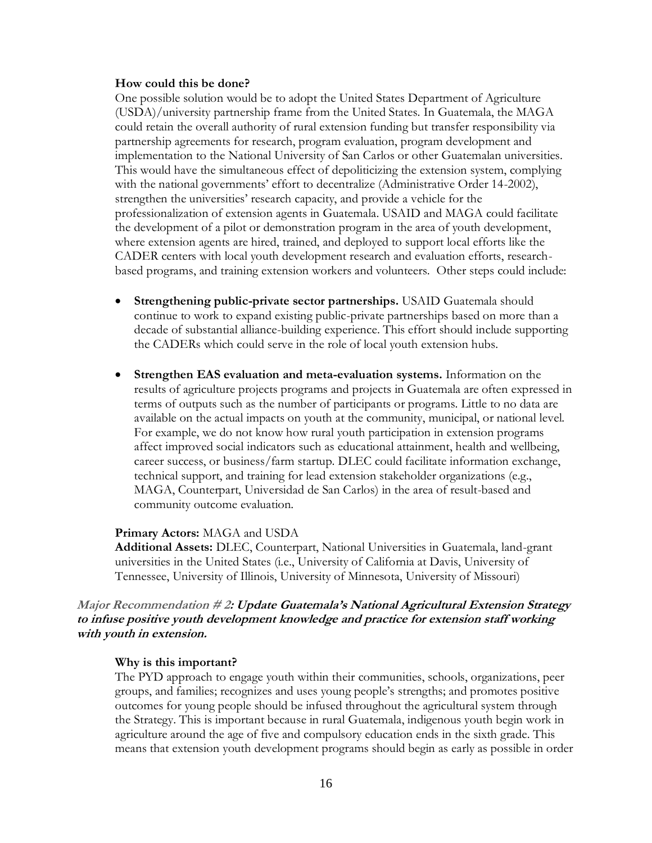#### **How could this be done?**

One possible solution would be to adopt the United States Department of Agriculture (USDA)/university partnership frame from the United States. In Guatemala, the MAGA could retain the overall authority of rural extension funding but transfer responsibility via partnership agreements for research, program evaluation, program development and implementation to the National University of San Carlos or other Guatemalan universities. This would have the simultaneous effect of depoliticizing the extension system, complying with the national governments' effort to decentralize (Administrative Order 14-2002), strengthen the universities' research capacity, and provide a vehicle for the professionalization of extension agents in Guatemala. USAID and MAGA could facilitate the development of a pilot or demonstration program in the area of youth development, where extension agents are hired, trained, and deployed to support local efforts like the CADER centers with local youth development research and evaluation efforts, researchbased programs, and training extension workers and volunteers. Other steps could include:

- **Strengthening public-private sector partnerships.** USAID Guatemala should continue to work to expand existing public-private partnerships based on more than a decade of substantial alliance-building experience. This effort should include supporting the CADERs which could serve in the role of local youth extension hubs.
- **Strengthen EAS evaluation and meta-evaluation systems.** Information on the results of agriculture projects programs and projects in Guatemala are often expressed in terms of outputs such as the number of participants or programs. Little to no data are available on the actual impacts on youth at the community, municipal, or national level. For example, we do not know how rural youth participation in extension programs affect improved social indicators such as educational attainment, health and wellbeing, career success, or business/farm startup. DLEC could facilitate information exchange, technical support, and training for lead extension stakeholder organizations (e.g., MAGA, Counterpart, Universidad de San Carlos) in the area of result-based and community outcome evaluation.

#### **Primary Actors:** MAGA and USDA

**Additional Assets:** DLEC, Counterpart, National Universities in Guatemala, land-grant universities in the United States (i.e., University of California at Davis, University of Tennessee, University of Illinois, University of Minnesota, University of Missouri)

## <span id="page-15-0"></span>**Major Recommendation # 2: Update Guatemala's National Agricultural Extension Strategy to infuse positive youth development knowledge and practice for extension staff working with youth in extension.**

#### **Why is this important?**

The PYD approach to engage youth within their communities, schools, organizations, peer groups, and families; recognizes and uses young people's strengths; and promotes positive outcomes for young people should be infused throughout the agricultural system through the Strategy. This is important because in rural Guatemala, indigenous youth begin work in agriculture around the age of five and compulsory education ends in the sixth grade. This means that extension youth development programs should begin as early as possible in order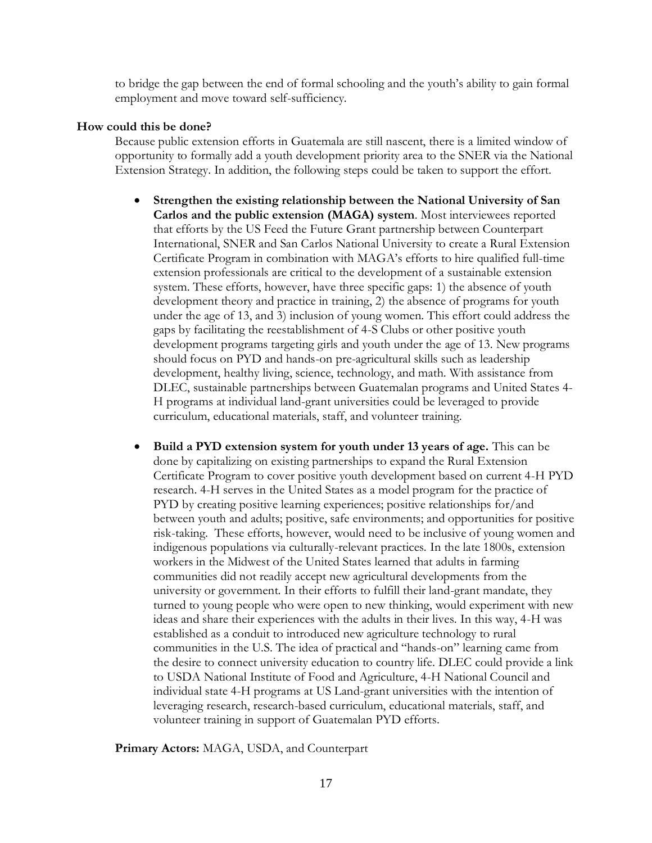to bridge the gap between the end of formal schooling and the youth's ability to gain formal employment and move toward self-sufficiency.

## **How could this be done?**

Because public extension efforts in Guatemala are still nascent, there is a limited window of opportunity to formally add a youth development priority area to the SNER via the National Extension Strategy. In addition, the following steps could be taken to support the effort.

- **Strengthen the existing relationship between the National University of San Carlos and the public extension (MAGA) system**. Most interviewees reported that efforts by the US Feed the Future Grant partnership between Counterpart International, SNER and San Carlos National University to create a Rural Extension Certificate Program in combination with MAGA's efforts to hire qualified full-time extension professionals are critical to the development of a sustainable extension system. These efforts, however, have three specific gaps: 1) the absence of youth development theory and practice in training, 2) the absence of programs for youth under the age of 13, and 3) inclusion of young women. This effort could address the gaps by facilitating the reestablishment of 4-S Clubs or other positive youth development programs targeting girls and youth under the age of 13. New programs should focus on PYD and hands-on pre-agricultural skills such as leadership development, healthy living, science, technology, and math. With assistance from DLEC, sustainable partnerships between Guatemalan programs and United States 4- H programs at individual land-grant universities could be leveraged to provide curriculum, educational materials, staff, and volunteer training.
- **Build a PYD extension system for youth under 13 years of age.** This can be done by capitalizing on existing partnerships to expand the Rural Extension Certificate Program to cover positive youth development based on current 4-H PYD research. 4-H serves in the United States as a model program for the practice of PYD by creating positive learning experiences; positive relationships for/and between youth and adults; positive, safe environments; and opportunities for positive risk-taking. These efforts, however, would need to be inclusive of young women and indigenous populations via culturally-relevant practices. In the late 1800s, extension workers in the Midwest of the United States learned that adults in farming communities did not readily accept new agricultural developments from the university or government. In their efforts to fulfill their land-grant mandate, they turned to young people who were open to new thinking, would experiment with new ideas and share their experiences with the adults in their lives. In this way, 4-H was established as a conduit to introduced new agriculture technology to rural communities in the U.S. The idea of practical and "hands-on" learning came from the desire to connect university education to country life. DLEC could provide a link to USDA National Institute of Food and Agriculture, 4-H National Council and individual state 4-H programs at US Land-grant universities with the intention of leveraging research, research-based curriculum, educational materials, staff, and volunteer training in support of Guatemalan PYD efforts.

**Primary Actors:** MAGA, USDA, and Counterpart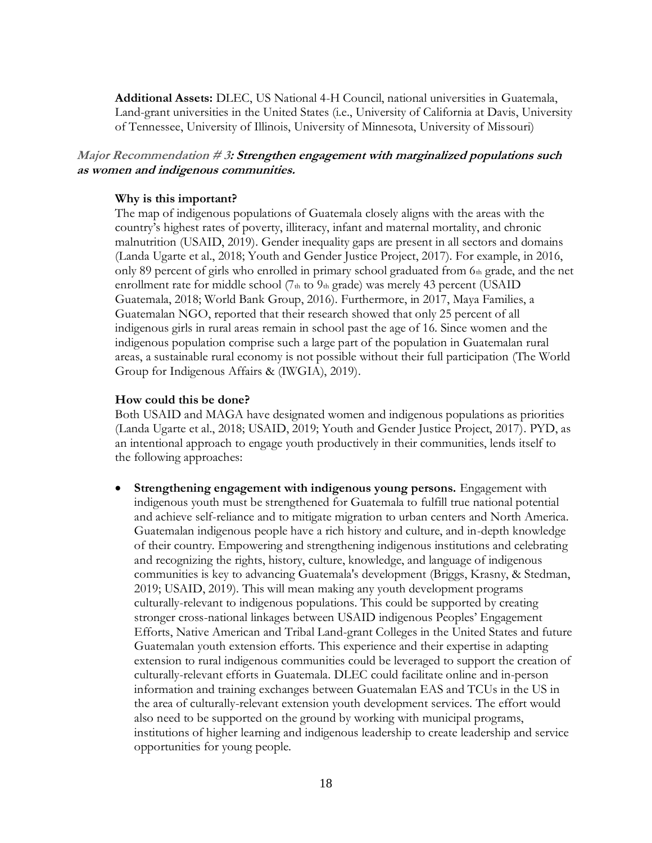**Additional Assets:** DLEC, US National 4-H Council, national universities in Guatemala, Land-grant universities in the United States (i.e., University of California at Davis, University of Tennessee, University of Illinois, University of Minnesota, University of Missouri)

## <span id="page-17-0"></span>**Major Recommendation # 3: Strengthen engagement with marginalized populations such as women and indigenous communities.**

### **Why is this important?**

The map of indigenous populations of Guatemala closely aligns with the areas with the country's highest rates of poverty, illiteracy, infant and maternal mortality, and chronic malnutrition (USAID, 2019). Gender inequality gaps are present in all sectors and domains (Landa Ugarte et al., 2018; Youth and Gender Justice Project, 2017). For example, in 2016, only 89 percent of girls who enrolled in primary school graduated from  $6<sub>th</sub>$  grade, and the net enrollment rate for middle school  $(7<sub>th</sub>$  to  $9<sub>th</sub>$  grade) was merely 43 percent (USAID Guatemala, 2018; World Bank Group, 2016). Furthermore, in 2017, Maya Families, a Guatemalan NGO, reported that their research showed that only 25 percent of all indigenous girls in rural areas remain in school past the age of 16. Since women and the indigenous population comprise such a large part of the population in Guatemalan rural areas, a sustainable rural economy is not possible without their full participation (The World Group for Indigenous Affairs & (IWGIA), 2019).

#### **How could this be done?**

Both USAID and MAGA have designated women and indigenous populations as priorities (Landa Ugarte et al., 2018; USAID, 2019; Youth and Gender Justice Project, 2017). PYD, as an intentional approach to engage youth productively in their communities, lends itself to the following approaches:

• **Strengthening engagement with indigenous young persons.** Engagement with indigenous youth must be strengthened for Guatemala to fulfill true national potential and achieve self-reliance and to mitigate migration to urban centers and North America. Guatemalan indigenous people have a rich history and culture, and in-depth knowledge of their country. Empowering and strengthening indigenous institutions and celebrating and recognizing the rights, history, culture, knowledge, and language of indigenous communities is key to advancing Guatemala's development (Briggs, Krasny, & Stedman, 2019; USAID, 2019). This will mean making any youth development programs culturally-relevant to indigenous populations. This could be supported by creating stronger cross-national linkages between USAID indigenous Peoples' Engagement Efforts, Native American and Tribal Land-grant Colleges in the United States and future Guatemalan youth extension efforts. This experience and their expertise in adapting extension to rural indigenous communities could be leveraged to support the creation of culturally-relevant efforts in Guatemala. DLEC could facilitate online and in-person information and training exchanges between Guatemalan EAS and TCUs in the US in the area of culturally-relevant extension youth development services. The effort would also need to be supported on the ground by working with municipal programs, institutions of higher learning and indigenous leadership to create leadership and service opportunities for young people.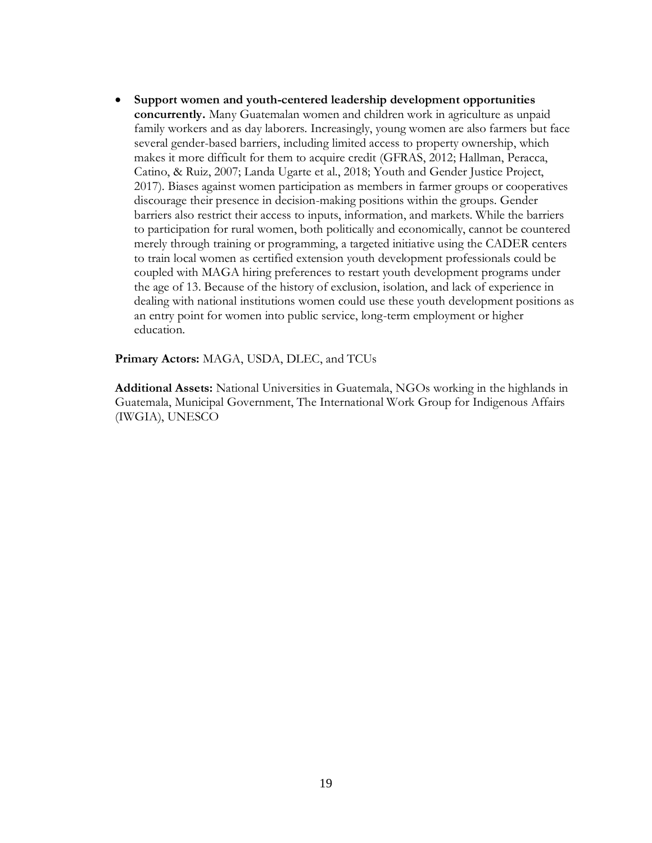• **Support women and youth-centered leadership development opportunities concurrently.** Many Guatemalan women and children work in agriculture as unpaid family workers and as day laborers. Increasingly, young women are also farmers but face several gender-based barriers, including limited access to property ownership, which makes it more difficult for them to acquire credit (GFRAS, 2012; Hallman, Peracca, Catino, & Ruiz, 2007; Landa Ugarte et al., 2018; Youth and Gender Justice Project, 2017). Biases against women participation as members in farmer groups or cooperatives discourage their presence in decision-making positions within the groups. Gender barriers also restrict their access to inputs, information, and markets. While the barriers to participation for rural women, both politically and economically, cannot be countered merely through training or programming, a targeted initiative using the CADER centers to train local women as certified extension youth development professionals could be coupled with MAGA hiring preferences to restart youth development programs under the age of 13. Because of the history of exclusion, isolation, and lack of experience in dealing with national institutions women could use these youth development positions as an entry point for women into public service, long-term employment or higher education.

#### **Primary Actors:** MAGA, USDA, DLEC, and TCUs

**Additional Assets:** National Universities in Guatemala, NGOs working in the highlands in Guatemala, Municipal Government, The International Work Group for Indigenous Affairs (IWGIA), UNESCO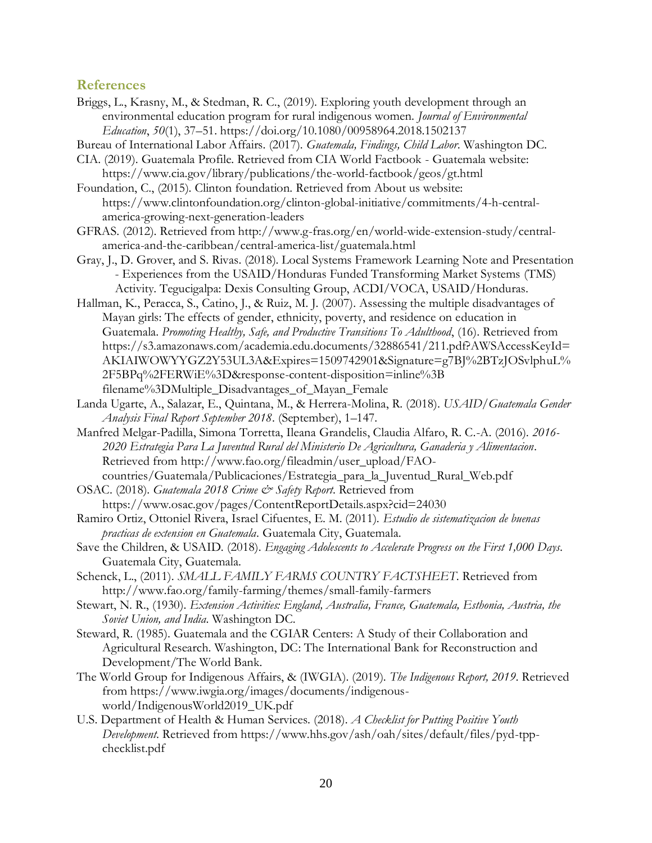## <span id="page-19-0"></span>**References**

- Briggs, L., Krasny, M., & Stedman, R. C., (2019). Exploring youth development through an environmental education program for rural indigenous women. *Journal of Environmental Education*, *50*(1), 37–51. https://doi.org/10.1080/00958964.2018.1502137
- Bureau of International Labor Affairs. (2017). *Guatemala, Findings, Child Labor*. Washington DC.
- CIA. (2019). Guatemala Profile. Retrieved from CIA World Factbook Guatemala website: https://www.cia.gov/library/publications/the-world-factbook/geos/gt.html

Foundation, C., (2015). Clinton foundation. Retrieved from About us website: https://www.clintonfoundation.org/clinton-global-initiative/commitments/4-h-centralamerica-growing-next-generation-leaders

- GFRAS. (2012). Retrieved from http://www.g-fras.org/en/world-wide-extension-study/centralamerica-and-the-caribbean/central-america-list/guatemala.html
- Gray, J., D. Grover, and S. Rivas. (2018). Local Systems Framework Learning Note and Presentation - Experiences from the USAID/Honduras Funded Transforming Market Systems (TMS) Activity. Tegucigalpa: Dexis Consulting Group, ACDI/VOCA, USAID/Honduras.
- Hallman, K., Peracca, S., Catino, J., & Ruiz, M. J. (2007). Assessing the multiple disadvantages of Mayan girls: The effects of gender, ethnicity, poverty, and residence on education in Guatemala. *Promoting Healthy, Safe, and Productive Transitions To Adulthood*, (16). Retrieved from https://s3.amazonaws.com/academia.edu.documents/32886541/211.pdf?AWSAccessKeyId= AKIAIWOWYYGZ2Y53UL3A&Expires=1509742901&Signature=g7BJ%2BTzJOSvlphuL% 2F5BPq%2FERWiE%3D&response-content-disposition=inline%3B filename%3DMultiple\_Disadvantages\_of\_Mayan\_Female
- Landa Ugarte, A., Salazar, E., Quintana, M., & Herrera-Molina, R. (2018). *USAID/Guatemala Gender Analysis Final Report September 2018*. (September), 1–147.
- Manfred Melgar-Padilla, Simona Torretta, Ileana Grandelis, Claudia Alfaro, R. C.-A. (2016). *2016- 2020 Estrategia Para La Juventud Rural del Ministerio De Agricultura, Ganaderia y Alimentacion*. Retrieved from http://www.fao.org/fileadmin/user\_upload/FAO-
- countries/Guatemala/Publicaciones/Estrategia\_para\_la\_Juventud\_Rural\_Web.pdf
- OSAC. (2018). *Guatemala 2018 Crime & Safety Report*. Retrieved from https://www.osac.gov/pages/ContentReportDetails.aspx?cid=24030
- Ramiro Ortiz, Ottoniel Rivera, Israel Cifuentes, E. M. (2011). *Estudio de sistematizacion de buenas practicas de extension en Guatemala*. Guatemala City, Guatemala.
- Save the Children, & USAID. (2018). *Engaging Adolescents to Accelerate Progress on the First 1,000 Days*. Guatemala City, Guatemala.
- Schenck, L., (2011). *SMALL FAMILY FARMS COUNTRY FACTSHEET*. Retrieved from http://www.fao.org/family-farming/themes/small-family-farmers
- Stewart, N. R., (1930). *Extension Activities: England, Australia, France, Guatemala, Esthonia, Austria, the Soviet Union, and India*. Washington DC.
- Steward, R. (1985). Guatemala and the CGIAR Centers: A Study of their Collaboration and Agricultural Research. Washington, DC: The International Bank for Reconstruction and Development/The World Bank.
- The World Group for Indigenous Affairs, & (IWGIA). (2019). *The Indigenous Report, 2019*. Retrieved from https://www.iwgia.org/images/documents/indigenousworld/IndigenousWorld2019\_UK.pdf
- U.S. Department of Health & Human Services. (2018). *A Checklist for Putting Positive Youth Development*. Retrieved from https://www.hhs.gov/ash/oah/sites/default/files/pyd-tppchecklist.pdf